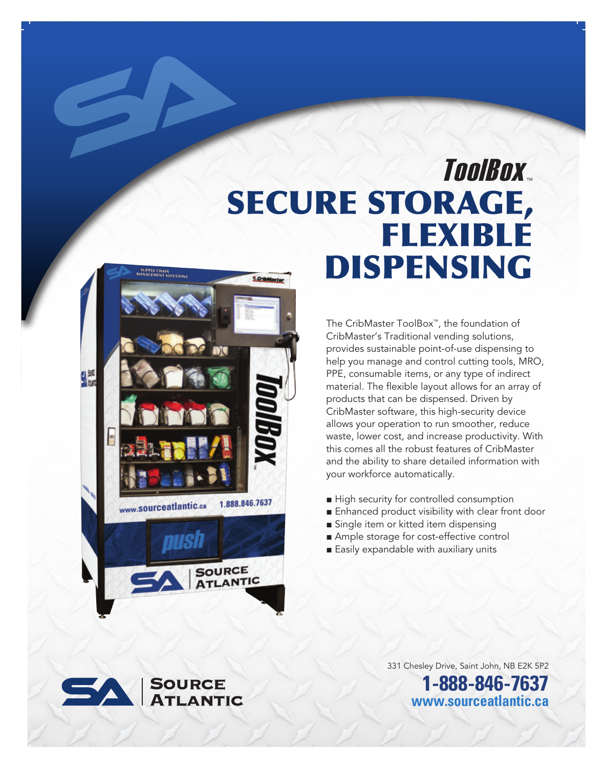# ToolBox. SECURE STORAGE, FLEXIBLE DISPENSING **CritMaster**

The CribMaster ToolBox™, the foundation of CribMaster's Traditional vending solutions, provides sustainable point-of-use dispensing to help you manage and control cutting tools, MRO, PPE, consumable items, or any type of indirect material. The flexible layout allows for an array of products that can be dispensed. Driven by CribMaster software, this high-security device allows your operation to run smoother, reduce waste, lower cost, and increase productivity. With this comes all the robust features of CribMaster and the ability to share detailed information with your workforce automatically.

- High security for controlled consumption
- Enhanced product visibility with clear front door
- Single item or kitted item dispensing
- Ample storage for cost-effective control
- Easily expandable with auxiliary units





331 Chesley Drive, Saint John, NB E2K 5P2 **1-888-846-7637**

**www.sourceatlantic.ca**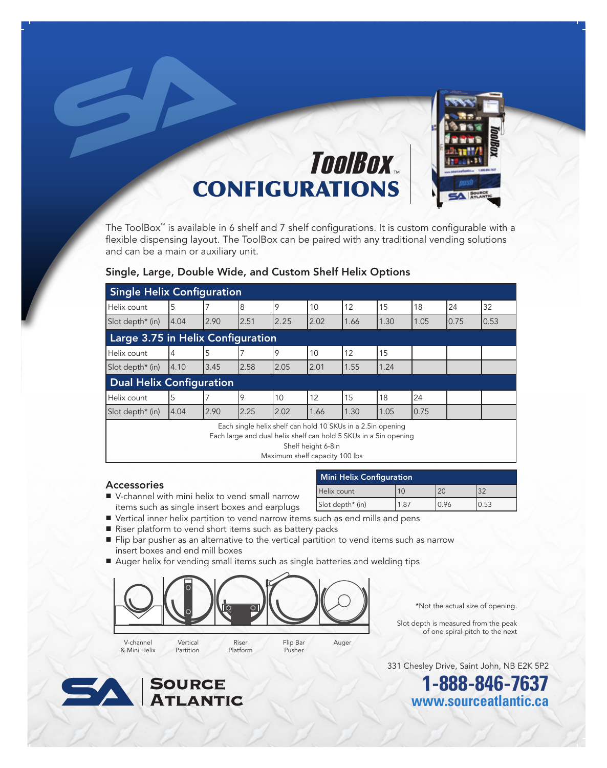

The ToolBox™ is available in 6 shelf and 7 shelf configurations. It is custom configurable with a flexible dispensing layout. The ToolBox can be paired with any traditional vending solutions and can be a main or auxiliary unit.

## Single, Large, Double Wide, and Custom Shelf Helix Options

| <b>Single Helix Configuration</b>                                                                                                                                                       |       |      |      |      |      |      |      |      |      |      |
|-----------------------------------------------------------------------------------------------------------------------------------------------------------------------------------------|-------|------|------|------|------|------|------|------|------|------|
| Helix count                                                                                                                                                                             | 5     |      | 8    | 9    | 10   | 12   | 15   | 18   | 24   | 32   |
| Slot depth* (in)                                                                                                                                                                        | 14.04 | 2.90 | 2.51 | 2.25 | 2.02 | 1.66 | 1.30 | 1.05 | 0.75 | 0.53 |
| Large 3.75 in Helix Configuration                                                                                                                                                       |       |      |      |      |      |      |      |      |      |      |
| Helix count                                                                                                                                                                             | 4     | 5    |      | 9    | 10   | 12   | 15   |      |      |      |
| Slot depth* (in)                                                                                                                                                                        | 14.10 | 3.45 | 2.58 | 2.05 | 2.01 | 1.55 | 1.24 |      |      |      |
| <b>Dual Helix Configuration</b>                                                                                                                                                         |       |      |      |      |      |      |      |      |      |      |
| Helix count                                                                                                                                                                             | 5     |      | 19   | 10   | 12   | 15   | 18   | 24   |      |      |
| Slot depth* (in)                                                                                                                                                                        | 14.04 | 2.90 | 2.25 | 2.02 | 1.66 | 1.30 | 1.05 | 0.75 |      |      |
| Each single helix shelf can hold 10 SKUs in a 2.5in opening<br>Each large and dual helix shelf can hold 5 SKUs in a 5in opening<br>Shelf height 6-8in<br>Maximum shelf capacity 100 lbs |       |      |      |      |      |      |      |      |      |      |

■ V-channel with mini helix to vend small narrow items such as single insert boxes and earplugs

Partition

|                                                                 | Mini Helix Configuration |      |       |       |  |
|-----------------------------------------------------------------|--------------------------|------|-------|-------|--|
| Accessories<br>■ V-channel with mini helix to vend small narrow | Helix count              |      |       |       |  |
| items such as single insert boxes and earplugs                  | $Slot depth* (in)$       | 1.87 | 10.96 | 10.53 |  |

- Vertical inner helix partition to vend narrow items such as end mills and pens
- Riser platform to vend short items such as battery packs
- Flip bar pusher as an alternative to the vertical partition to vend items such as narrow insert boxes and end mill boxes

Pusher

■ Auger helix for vending small items such as single batteries and welding tips



Platform

\*Not the actual size of opening.

 Slot depth is measured from the peak of one spiral pitch to the next

331 Chesley Drive, Saint John, NB E2K 5P2

**1-888-846-7637 www.sourceatlantic.ca**



& Mini Helix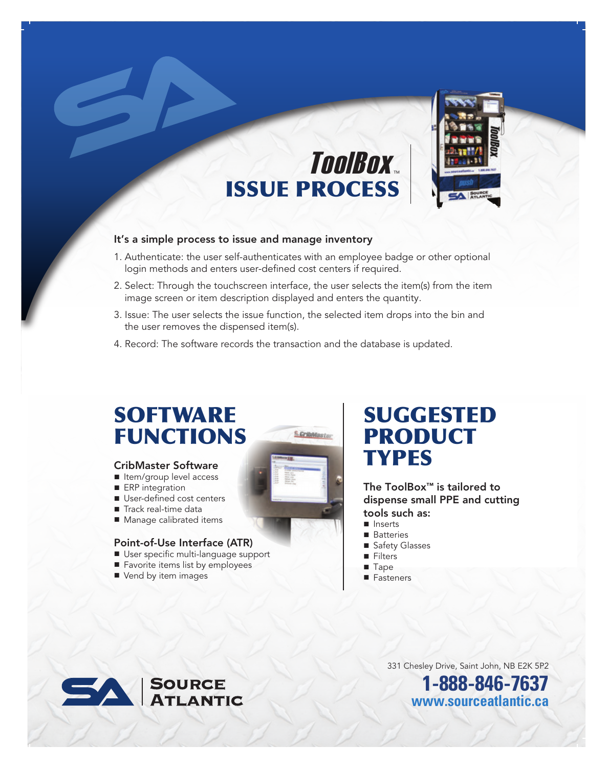# ISSUE PROCESS ToolBox.



- 1. Authenticate: the user self-authenticates with an employee badge or other optional login methods and enters user-defined cost centers if required.
- 2. Select: Through the touchscreen interface, the user selects the item(s) from the item image screen or item description displayed and enters the quantity.
- 3. Issue: The user selects the issue function, the selected item drops into the bin and the user removes the dispensed item(s).
- 4. Record: The software records the transaction and the database is updated.

## **SOFTWARE** FUNCTIONS

#### CribMaster Software

- Item/group level access
- ERP integration
- User-defined cost centers
- Track real-time data
- Manage calibrated items

## Point-of-Use Interface (ATR)

- User specific multi-language support
- Favorite items list by employees
- Vend by item images



## SUGGESTED PRODUCT TYPES

The ToolBox™ is tailored to dispense small PPE and cutting tools such as:

- Inserts
- Batteries
- Safety Glasses
- Filters
- Tape
- Fasteners



331 Chesley Drive, Saint John, NB E2K 5P2

**1-888-846-7637 www.sourceatlantic.ca**